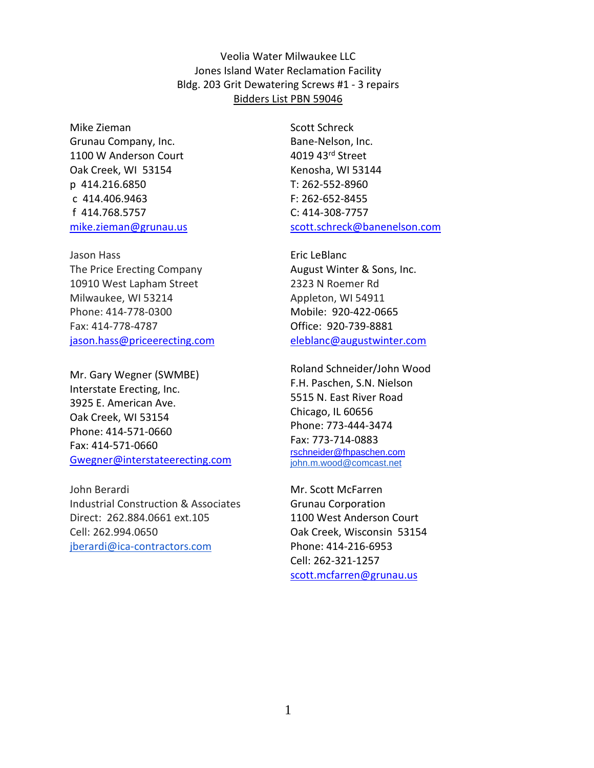Veolia Water Milwaukee LLC Jones Island Water Reclamation Facility Bldg. 203 Grit Dewatering Screws #1 - 3 repairs Bidders List PBN 59046

Mike Zieman Grunau Company, Inc. 1100 W Anderson Court Oak Creek, WI 53154 p 414.216.6850 c 414.406.9463 f 414.768.5757 mike.zieman@grunau.us

Jason Hass The Price Erecting Company 10910 West Lapham Street Milwaukee, WI 53214 Phone: 414-778-0300 Fax: 414-778-4787 jason.hass@priceerecting.com

Mr. Gary Wegner (SWMBE) Interstate Erecting, Inc. 3925 E. American Ave. Oak Creek, WI 53154 Phone: 414-571-0660 Fax: 414-571-0660 Gwegner@interstateerecting.com

John Berardi Industrial Construction & Associates Direct: 262.884.0661 ext.105 Cell: 262.994.0650 jberardi@ica-contractors.com

Scott Schreck Bane-Nelson, Inc. 4019 43rd Street Kenosha, WI 53144 T: 262-552-8960 F: 262-652-8455 C: 414-308-7757 scott.schreck@banenelson.com

Eric LeBlanc August Winter & Sons, Inc. 2323 N Roemer Rd Appleton, WI 54911 Mobile: 920-422-0665 Office: 920-739-8881 eleblanc@augustwinter.com

Roland Schneider/John Wood F.H. Paschen, S.N. Nielson 5515 N. East River Road Chicago, IL 60656 Phone: 773-444-3474 Fax: 773-714-0883 rschneider@fhpaschen.com john.m.wood@comcast.net

Mr. Scott McFarren Grunau Corporation 1100 West Anderson Court Oak Creek, Wisconsin 53154 Phone: 414-216-6953 Cell: 262-321-1257 scott.mcfarren@grunau.us